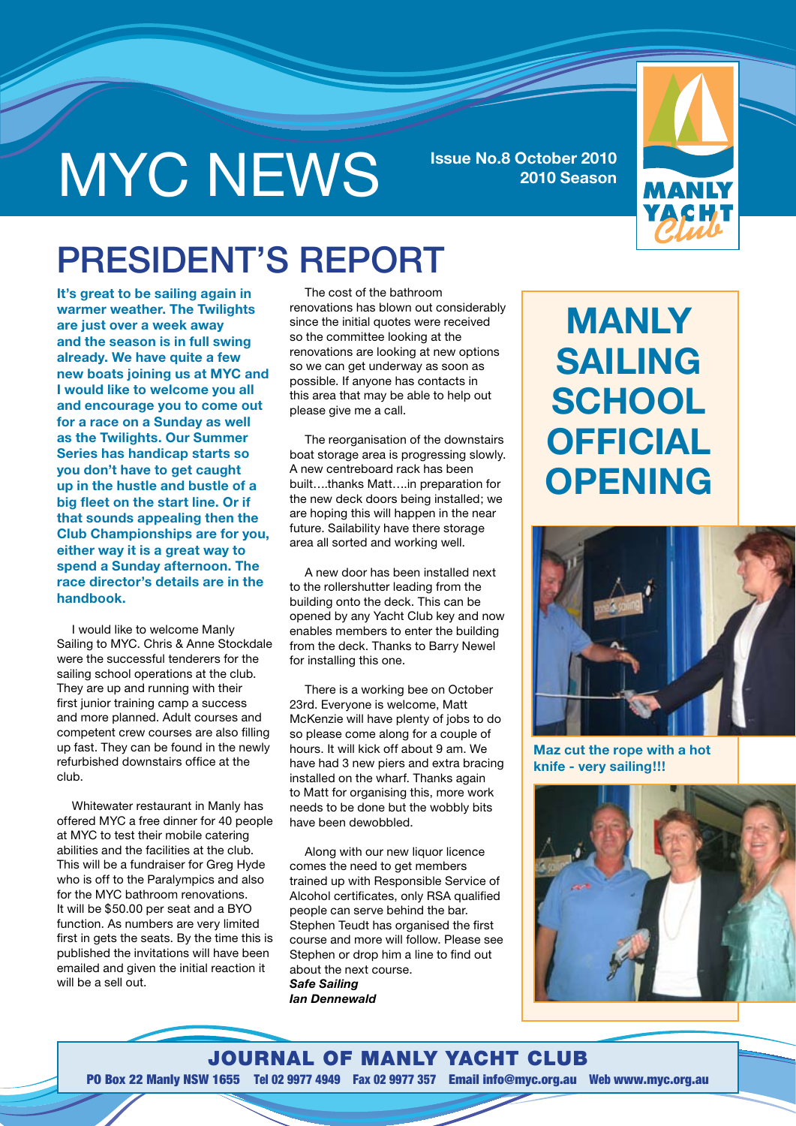# MYC NEWS **Issue No.8 October 2010**

**2010 Season**



### President's report

**It's great to be sailing again in warmer weather. The Twilights are just over a week away and the season is in full swing already. We have quite a few new boats joining us at MYC and I would like to welcome you all and encourage you to come out for a race on a Sunday as well as the Twilights. Our Summer Series has handicap starts so you don't have to get caught up in the hustle and bustle of a big fleet on the start line. Or if that sounds appealing then the Club Championships are for you, either way it is a great way to spend a Sunday afternoon. The race director's details are in the handbook.** 

I would like to welcome Manly Sailing to MYC. Chris & Anne Stockdale were the successful tenderers for the sailing school operations at the club. They are up and running with their first junior training camp a success and more planned. Adult courses and competent crew courses are also filling up fast. They can be found in the newly refurbished downstairs office at the club.

Whitewater restaurant in Manly has offered MYC a free dinner for 40 people at MYC to test their mobile catering abilities and the facilities at the club. This will be a fundraiser for Greg Hyde who is off to the Paralympics and also for the MYC bathroom renovations. It will be \$50.00 per seat and a BYO function. As numbers are very limited first in gets the seats. By the time this is published the invitations will have been emailed and given the initial reaction it will be a sell out.

The cost of the bathroom renovations has blown out considerably since the initial quotes were received so the committee looking at the renovations are looking at new options so we can get underway as soon as possible. If anyone has contacts in this area that may be able to help out please give me a call.

The reorganisation of the downstairs boat storage area is progressing slowly. A new centreboard rack has been built….thanks Matt….in preparation for the new deck doors being installed; we are hoping this will happen in the near future. Sailability have there storage area all sorted and working well.

A new door has been installed next to the rollershutter leading from the building onto the deck. This can be opened by any Yacht Club key and now enables members to enter the building from the deck. Thanks to Barry Newel for installing this one.

There is a working bee on October 23rd. Everyone is welcome, Matt McKenzie will have plenty of jobs to do so please come along for a couple of hours. It will kick off about 9 am. We have had 3 new piers and extra bracing installed on the wharf. Thanks again to Matt for organising this, more work needs to be done but the wobbly bits have been dewobbled.

Along with our new liquor licence comes the need to get members trained up with Responsible Service of Alcohol certificates, only RSA qualified people can serve behind the bar. Stephen Teudt has organised the first course and more will follow. Please see Stephen or drop him a line to find out about the next course. *Safe Sailing Ian Dennewald*

### **Manly Sailing School OffiCIal Opening**



**Maz cut the rope with a hot knife - very sailing!!!**



Journal of Manly Yacht Club PO Box 22 Manly NSW 1655 Tel 02 9977 4949 Fax 02 9977 357 Email info@myc.org.au Web www.myc.org.au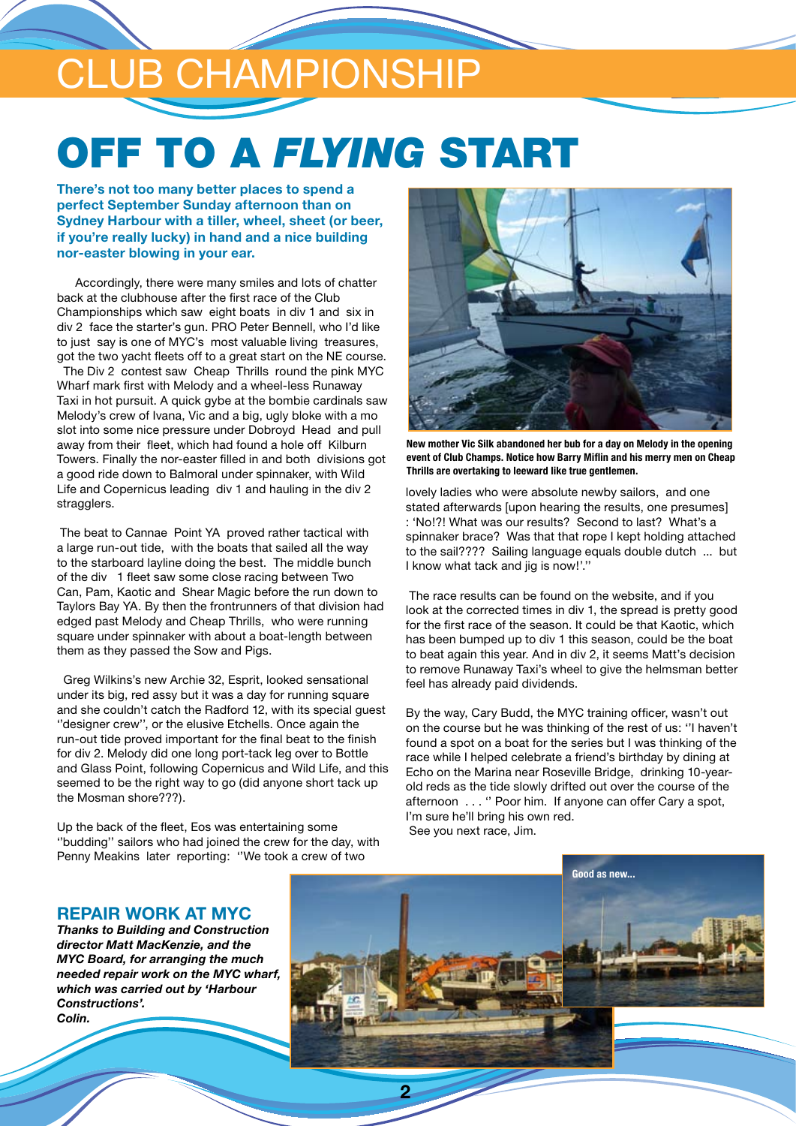## club championship

## OFF TO A *FLYING* START

**There's not too many better places to spend a perfect September Sunday afternoon than on Sydney Harbour with a tiller, wheel, sheet (or beer, if you're really lucky) in hand and a nice building nor-easter blowing in your ear.** 

 Accordingly, there were many smiles and lots of chatter back at the clubhouse after the first race of the Club Championships which saw eight boats in div 1 and six in div 2 face the starter's gun. PRO Peter Bennell, who I'd like to just say is one of MYC's most valuable living treasures, got the two yacht fleets off to a great start on the NE course. The Div 2 contest saw Cheap Thrills round the pink MYC Wharf mark first with Melody and a wheel-less Runaway Taxi in hot pursuit. A quick gybe at the bombie cardinals saw Melody's crew of Ivana, Vic and a big, ugly bloke with a mo slot into some nice pressure under Dobroyd Head and pull away from their fleet, which had found a hole off Kilburn Towers. Finally the nor-easter filled in and both divisions got a good ride down to Balmoral under spinnaker, with Wild Life and Copernicus leading div 1 and hauling in the div 2 stragglers.

 The beat to Cannae Point YA proved rather tactical with a large run-out tide, with the boats that sailed all the way to the starboard layline doing the best. The middle bunch of the div 1 fleet saw some close racing between Two Can, Pam, Kaotic and Shear Magic before the run down to Taylors Bay YA. By then the frontrunners of that division had edged past Melody and Cheap Thrills, who were running square under spinnaker with about a boat-length between them as they passed the Sow and Pigs.

 Greg Wilkins's new Archie 32, Esprit, looked sensational under its big, red assy but it was a day for running square and she couldn't catch the Radford 12, with its special guest ''designer crew'', or the elusive Etchells. Once again the run-out tide proved important for the final beat to the finish for div 2. Melody did one long port-tack leg over to Bottle and Glass Point, following Copernicus and Wild Life, and this seemed to be the right way to go (did anyone short tack up the Mosman shore???).

Up the back of the fleet, Eos was entertaining some ''budding'' sailors who had joined the crew for the day, with Penny Meakins later reporting: ''We took a crew of two



**New mother Vic Silk abandoned her bub for a day on Melody in the opening event of Club Champs. Notice how Barry Miflin and his merry men on Cheap Thrills are overtaking to leeward like true gentlemen.**

lovely ladies who were absolute newby sailors, and one stated afterwards [upon hearing the results, one presumes] : 'No!?! What was our results? Second to last? What's a spinnaker brace? Was that that rope I kept holding attached to the sail???? Sailing language equals double dutch ... but I know what tack and jig is now!'.''

 The race results can be found on the website, and if you look at the corrected times in div 1, the spread is pretty good for the first race of the season. It could be that Kaotic, which has been bumped up to div 1 this season, could be the boat to beat again this year. And in div 2, it seems Matt's decision to remove Runaway Taxi's wheel to give the helmsman better feel has already paid dividends.

By the way, Cary Budd, the MYC training officer, wasn't out on the course but he was thinking of the rest of us: ''I haven't found a spot on a boat for the series but I was thinking of the race while I helped celebrate a friend's birthday by dining at Echo on the Marina near Roseville Bridge, drinking 10-yearold reds as the tide slowly drifted out over the course of the afternoon . . . '' Poor him. If anyone can offer Cary a spot, I'm sure he'll bring his own red. See you next race, Jim.

#### **Repair work at MYC**

*Thanks to Building and Construction director Matt MacKenzie, and the MYC Board, for arranging the much needed repair work on the MYC wharf, which was carried out by 'Harbour Constructions'. Colin.*



**2**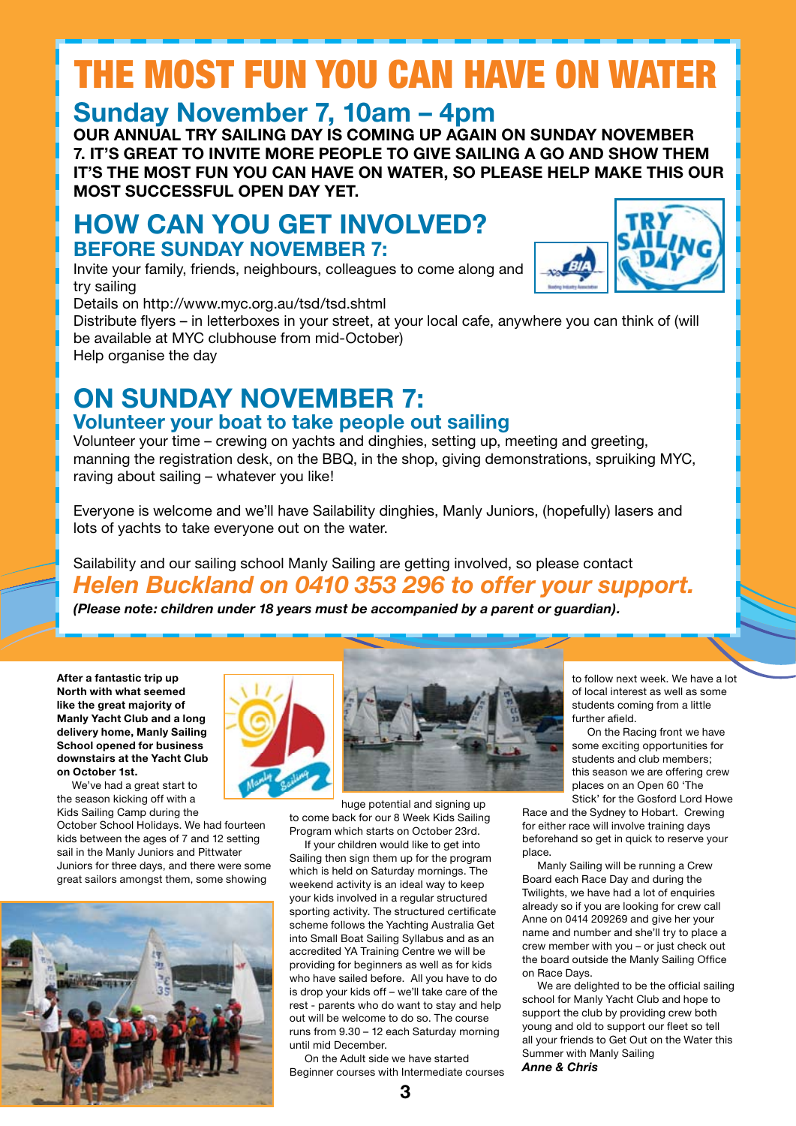## The most fun you can have on water

### **Sunday November 7, 10am – 4pm**

**Our annual Try Sailing Day is coming up again on Sunday November 7. It's great to invite more people to give sailing a go and show them it's the most fun you can have on water, so please help make this our most successful open day yet.**

### **How can you get involved? Before Sunday November 7:**

Invite your family, friends, neighbours, colleagues to come along and try sailing

Details on http://www.myc.org.au/tsd/tsd.shtml

Distribute flyers – in letterboxes in your street, at your local cafe, anywhere you can think of (will be available at MYC clubhouse from mid-October) Help organise the day

### **On Sunday November 7: Volunteer your boat to take people out sailing**

Volunteer your time – crewing on yachts and dinghies, setting up, meeting and greeting, manning the registration desk, on the BBQ, in the shop, giving demonstrations, spruiking MYC, raving about sailing – whatever you like!

Everyone is welcome and we'll have Sailability dinghies, Manly Juniors, (hopefully) lasers and lots of yachts to take everyone out on the water.

Sailability and our sailing school Manly Sailing are getting involved, so please contact *Helen Buckland on 0410 353 296 to offer your support.*

*(Please note: children under 18 years must be accompanied by a parent or guardian).*

**After a fantastic trip up North with what seemed like the great majority of Manly Yacht Club and a long delivery home, Manly Sailing School opened for business downstairs at the Yacht Club on October 1st.**

We've had a great start to the season kicking off with a Kids Sailing Camp during the

October School Holidays. We had fourteen kids between the ages of 7 and 12 setting sail in the Manly Juniors and Pittwater Juniors for three days, and there were some great sailors amongst them, some showing







huge potential and signing up to come back for our 8 Week Kids Sailing Program which starts on October 23rd.

If your children would like to get into Sailing then sign them up for the program which is held on Saturday mornings. The weekend activity is an ideal way to keep your kids involved in a regular structured sporting activity. The structured certificate scheme follows the Yachting Australia Get into Small Boat Sailing Syllabus and as an accredited YA Training Centre we will be providing for beginners as well as for kids who have sailed before. All you have to do is drop your kids off – we'll take care of the rest - parents who do want to stay and help out will be welcome to do so. The course runs from 9.30 – 12 each Saturday morning until mid December.

On the Adult side we have started Beginner courses with Intermediate courses to follow next week. We have a lot of local interest as well as some students coming from a little further afield.

On the Racing front we have some exciting opportunities for students and club members; this season we are offering crew places on an Open 60 'The Stick' for the Gosford Lord Howe

Race and the Sydney to Hobart. Crewing for either race will involve training days beforehand so get in quick to reserve your place.

Manly Sailing will be running a Crew Board each Race Day and during the Twilights, we have had a lot of enquiries already so if you are looking for crew call Anne on 0414 209269 and give her your name and number and she'll try to place a crew member with you – or just check out the board outside the Manly Sailing Office on Race Days.

We are delighted to be the official sailing school for Manly Yacht Club and hope to support the club by providing crew both young and old to support our fleet so tell all your friends to Get Out on the Water this Summer with Manly Sailing *Anne & Chris* 

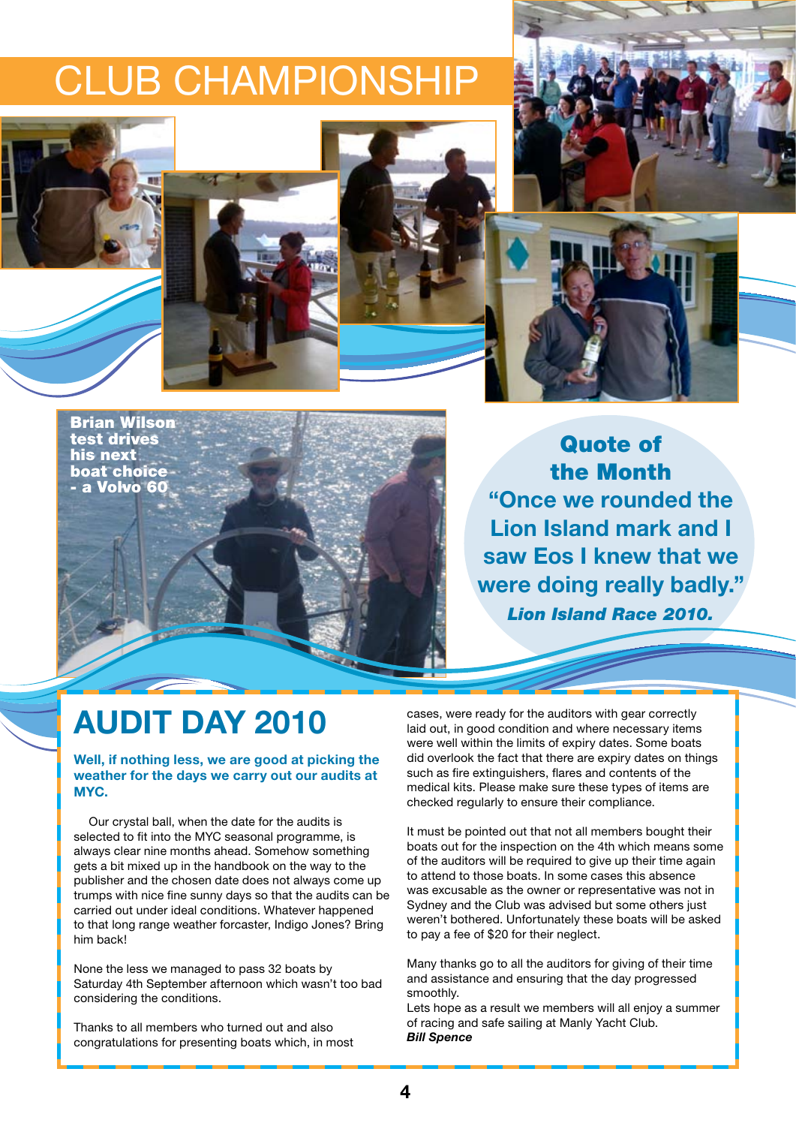### CLUB CHAMPIONSHIP





Brian Wilson test drives his next boat choice - a Volvo 60

Quote of the Month **"Once we rounded the Lion Island mark and I saw Eos I knew that we were doing really badly."** *Lion Island Race 2010.*

### **AUDIT DAY 2010**

#### **Well, if nothing less, we are good at picking the weather for the days we carry out our audits at MYC.**

Our crystal ball, when the date for the audits is selected to fit into the MYC seasonal programme, is always clear nine months ahead. Somehow something gets a bit mixed up in the handbook on the way to the publisher and the chosen date does not always come up trumps with nice fine sunny days so that the audits can be carried out under ideal conditions. Whatever happened to that long range weather forcaster, Indigo Jones? Bring him back!

None the less we managed to pass 32 boats by Saturday 4th September afternoon which wasn't too bad considering the conditions.

Thanks to all members who turned out and also congratulations for presenting boats which, in most cases, were ready for the auditors with gear correctly laid out, in good condition and where necessary items were well within the limits of expiry dates. Some boats did overlook the fact that there are expiry dates on things such as fire extinguishers, flares and contents of the medical kits. Please make sure these types of items are checked regularly to ensure their compliance.

It must be pointed out that not all members bought their boats out for the inspection on the 4th which means some of the auditors will be required to give up their time again to attend to those boats. In some cases this absence was excusable as the owner or representative was not in Sydney and the Club was advised but some others just weren't bothered. Unfortunately these boats will be asked to pay a fee of \$20 for their neglect.

Many thanks go to all the auditors for giving of their time and assistance and ensuring that the day progressed smoothly.

Lets hope as a result we members will all enjoy a summer of racing and safe sailing at Manly Yacht Club. *Bill Spence*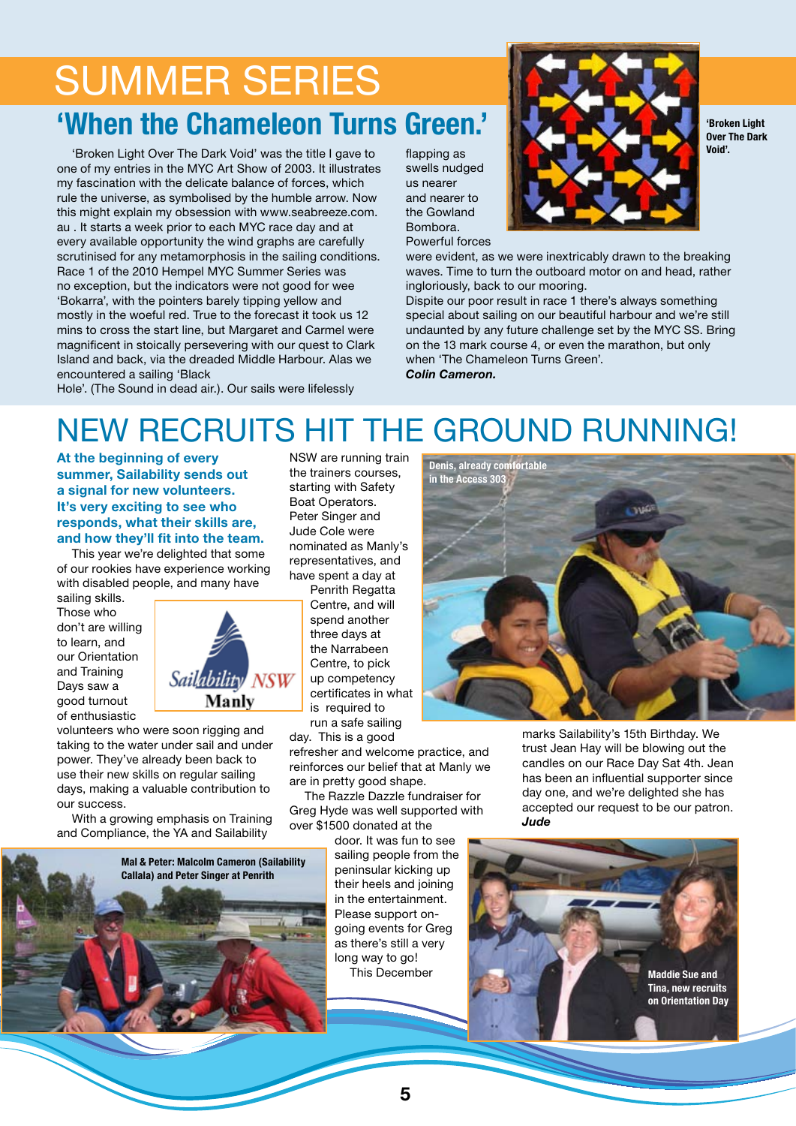### summer series **'When the Chameleon Turns Green.'**

'Broken Light Over The Dark Void' was the title I gave to one of my entries in the MYC Art Show of 2003. It illustrates my fascination with the delicate balance of forces, which rule the universe, as symbolised by the humble arrow. Now this might explain my obsession with www.seabreeze.com. au . It starts a week prior to each MYC race day and at every available opportunity the wind graphs are carefully scrutinised for any metamorphosis in the sailing conditions. Race 1 of the 2010 Hempel MYC Summer Series was no exception, but the indicators were not good for wee 'Bokarra', with the pointers barely tipping yellow and mostly in the woeful red. True to the forecast it took us 12 mins to cross the start line, but Margaret and Carmel were magnificent in stoically persevering with our quest to Clark Island and back, via the dreaded Middle Harbour. Alas we encountered a sailing 'Black

flapping as swells nudged us nearer and nearer to the Gowland Bombora. Powerful forces



**'Broken Light Over The Dark Void'.**

were evident, as we were inextricably drawn to the breaking waves. Time to turn the outboard motor on and head, rather ingloriously, back to our mooring.

Dispite our poor result in race 1 there's always something special about sailing on our beautiful harbour and we're still undaunted by any future challenge set by the MYC SS. Bring on the 13 mark course 4, or even the marathon, but only when 'The Chameleon Turns Green'. *Colin Cameron.*

Hole'. (The Sound in dead air.). Our sails were lifelessly

### New recruits hit the ground running!

**At the beginning of every summer, Sailability sends out a signal for new volunteers. It's very exciting to see who responds, what their skills are, and how they'll fit into the team.**

This year we're delighted that some of our rookies have experience working with disabled people, and many have

sailing skills. Those who don't are willing to learn, and our Orientation and Training Days saw a good turnout of enthusiastic



volunteers who were soon rigging and taking to the water under sail and under power. They've already been back to use their new skills on regular sailing days, making a valuable contribution to our success.

With a growing emphasis on Training and Compliance, the YA and Sailability



NSW are running train the trainers courses, starting with Safety Boat Operators. Peter Singer and Jude Cole were nominated as Manly's representatives, and have spent a day at

> Penrith Regatta Centre, and will spend another three days at the Narrabeen Centre, to pick up competency certificates in what is required to run a safe sailing

day. This is a good refresher and welcome practice, and reinforces our belief that at Manly we are in pretty good shape.

The Razzle Dazzle fundraiser for Greg Hyde was well supported with over \$1500 donated at the

door. It was fun to see sailing people from the peninsular kicking up their heels and joining in the entertainment. Please support ongoing events for Greg as there's still a very long way to go! This December



marks Sailability's 15th Birthday. We trust Jean Hay will be blowing out the candles on our Race Day Sat 4th. Jean has been an influential supporter since day one, and we're delighted she has accepted our request to be our patron. *Jude*



**5**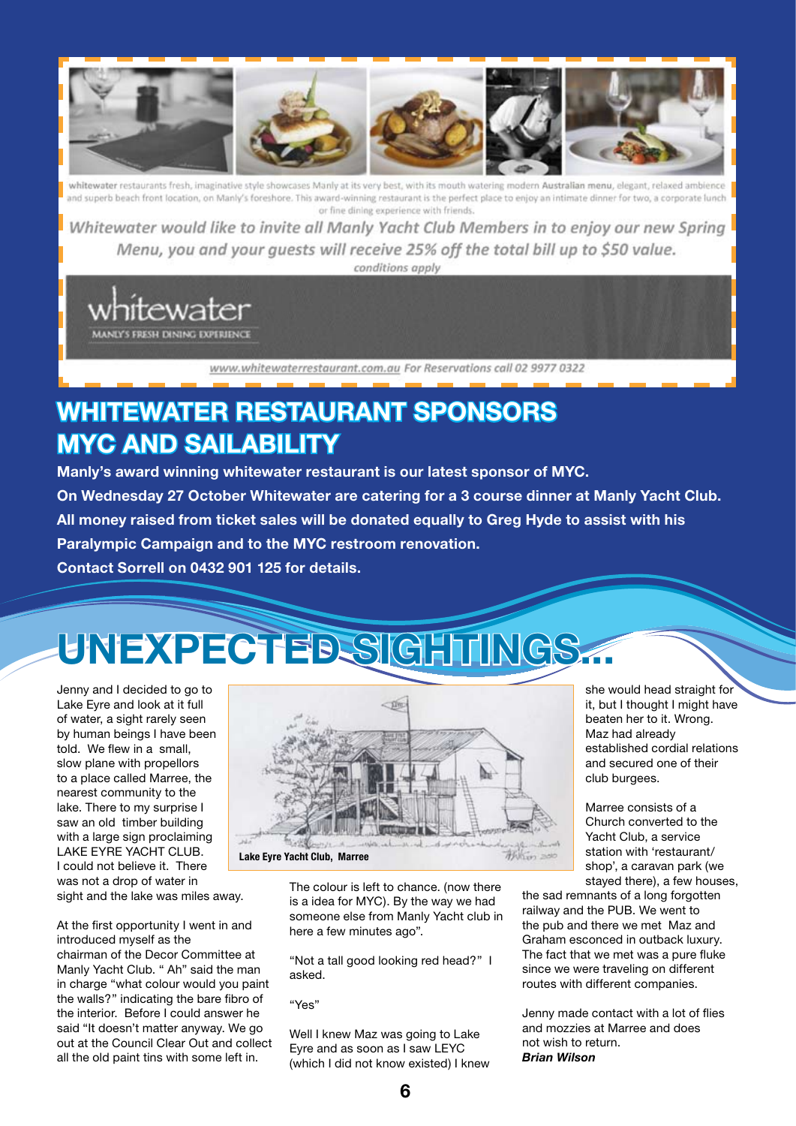

whitewater restaurants fresh, imaginative style showcases Manly at its very best, with its mouth watering modern Australian menu, elegant, relaxed ambience and superb beach front location, on Manly's foreshore. This award-winning restaurant is the perfect place to enjoy an intimate dinner for two, a corporate lunch or fine dining experience with friends.

Whitewater would like to invite all Manly Yacht Club Members in to enjoy our new Spring Menu, you and your quests will receive 25% off the total bill up to \$50 value. conditions apply

MANLY'S FRESH DINING EXPERIENCE

www.whitewaterrestaurant.com.au For Reservations call 02 9977 0322

### **Whitewater Restaurant sponsors MYC and Sailability**

**Manly's award winning whitewater restaurant is our latest sponsor of MYC. On Wednesday 27 October Whitewater are catering for a 3 course dinner at Manly Yacht Club. All money raised from ticket sales will be donated equally to Greg Hyde to assist with his Paralympic Campaign and to the MYC restroom renovation. Contact Sorrell on 0432 901 125 for details.**

## **unexpected sightings...**

Jenny and I decided to go to Lake Eyre and look at it full of water, a sight rarely seen by human beings I have been told. We flew in a small, slow plane with propellors to a place called Marree, the nearest community to the lake. There to my surprise I saw an old timber building with a large sign proclaiming LAKE EYRE YACHT CLUB. I could not believe it. There was not a drop of water in sight and the lake was miles away.

At the first opportunity I went in and introduced myself as the chairman of the Decor Committee at Manly Yacht Club. " Ah" said the man in charge "what colour would you paint the walls?" indicating the bare fibro of the interior. Before I could answer he said "It doesn't matter anyway. We go out at the Council Clear Out and collect all the old paint tins with some left in.



The colour is left to chance. (now there is a idea for MYC). By the way we had someone else from Manly Yacht club in here a few minutes ago".

"Not a tall good looking red head?" I asked.

"Yes"

Well I knew Maz was going to Lake Eyre and as soon as I saw LEYC (which I did not know existed) I knew she would head straight for it, but I thought I might have beaten her to it. Wrong. Maz had already established cordial relations and secured one of their club burgees.

Marree consists of a Church converted to the Yacht Club, a service station with 'restaurant/ shop', a caravan park (we stayed there), a few houses,

the sad remnants of a long forgotten railway and the PUB. We went to the pub and there we met Maz and Graham esconced in outback luxury. The fact that we met was a pure fluke since we were traveling on different routes with different companies.

Jenny made contact with a lot of flies and mozzies at Marree and does not wish to return. *Brian Wilson*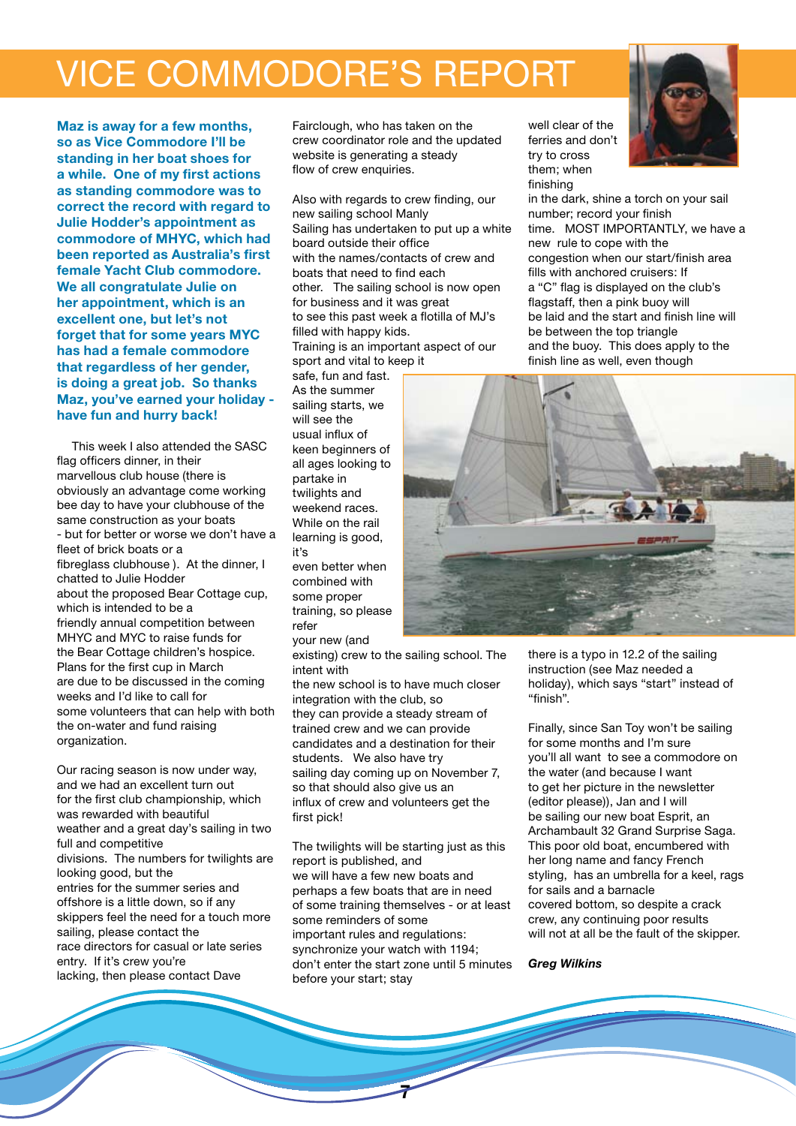### vice commodore's report

**Maz is away for a few months, so as Vice Commodore I'll be standing in her boat shoes for a while. One of my first actions as standing commodore was to correct the record with regard to Julie Hodder's appointment as commodore of MHYC, which had been reported as Australia's first female Yacht Club commodore. We all congratulate Julie on her appointment, which is an excellent one, but let's not forget that for some years MYC has had a female commodore that regardless of her gender, is doing a great job. So thanks Maz, you've earned your holiday have fun and hurry back!**

This week I also attended the SASC flag officers dinner, in their marvellous club house (there is obviously an advantage come working bee day to have your clubhouse of the same construction as your boats - but for better or worse we don't have a fleet of brick boats or a fibreglass clubhouse ). At the dinner, I chatted to Julie Hodder about the proposed Bear Cottage cup, which is intended to be a friendly annual competition between MHYC and MYC to raise funds for the Bear Cottage children's hospice. Plans for the first cup in March are due to be discussed in the coming weeks and I'd like to call for some volunteers that can help with both the on-water and fund raising organization.

Our racing season is now under way, and we had an excellent turn out for the first club championship, which was rewarded with beautiful weather and a great day's sailing in two full and competitive divisions. The numbers for twilights are looking good, but the entries for the summer series and offshore is a little down, so if any skippers feel the need for a touch more sailing, please contact the race directors for casual or late series entry. If it's crew you're lacking, then please contact Dave

Fairclough, who has taken on the crew coordinator role and the updated website is generating a steady flow of crew enquiries.

Also with regards to crew finding, our new sailing school Manly Sailing has undertaken to put up a white board outside their office with the names/contacts of crew and boats that need to find each other. The sailing school is now open for business and it was great to see this past week a flotilla of MJ's filled with happy kids. Training is an important aspect of our sport and vital to keep it

safe, fun and fast. As the summer sailing starts, we will see the usual influx of keen beginners of all ages looking to partake in twilights and weekend races. While on the rail learning is good, it's even better when

combined with some proper training, so please refer

your new (and

existing) crew to the sailing school. The intent with

the new school is to have much closer integration with the club, so they can provide a steady stream of trained crew and we can provide candidates and a destination for their students. We also have try sailing day coming up on November 7, so that should also give us an influx of crew and volunteers get the first pick!

The twilights will be starting just as this report is published, and we will have a few new boats and perhaps a few boats that are in need of some training themselves - or at least some reminders of some important rules and regulations: synchronize your watch with 1194; don't enter the start zone until 5 minutes before your start; stay

**7**

well clear of the ferries and don't try to cross them; when finishing

in the dark, shine a torch on your sail number; record your finish time. MOST IMPORTANTLY, we have a new rule to cope with the congestion when our start/finish area fills with anchored cruisers: If a "C" flag is displayed on the club's flagstaff, then a pink buoy will be laid and the start and finish line will be between the top triangle and the buoy. This does apply to the finish line as well, even though



there is a typo in 12.2 of the sailing instruction (see Maz needed a holiday), which says "start" instead of "finish".

Finally, since San Toy won't be sailing for some months and I'm sure you'll all want to see a commodore on the water (and because I want to get her picture in the newsletter (editor please)), Jan and I will be sailing our new boat Esprit, an Archambault 32 Grand Surprise Saga. This poor old boat, encumbered with her long name and fancy French styling, has an umbrella for a keel, rags for sails and a barnacle covered bottom, so despite a crack crew, any continuing poor results will not at all be the fault of the skipper.

#### *Greg Wilkins*